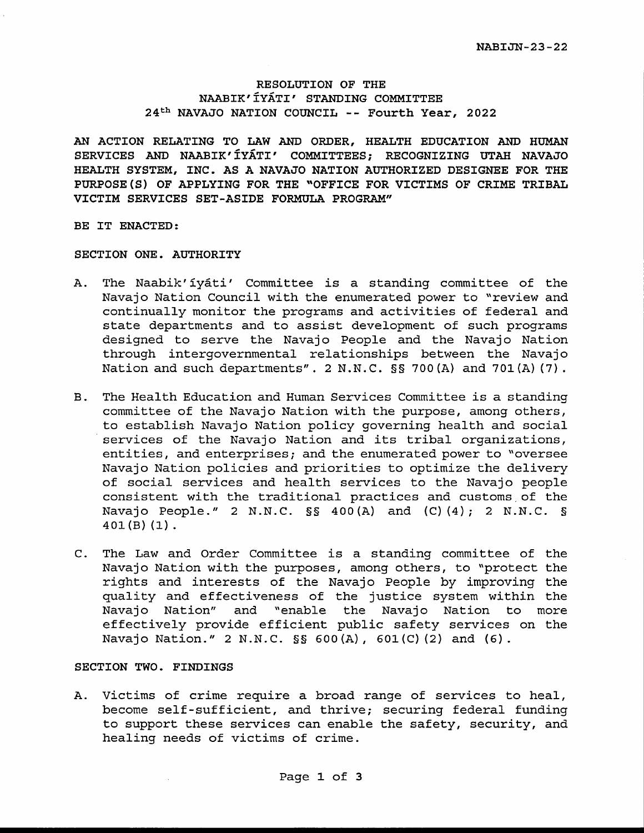#### **RESOLUTION OF THE NAABIK'IYATI' STANDING COMMITTEE 24th NAVAJO NATION COUNCIL** -- **Fourth Year, 2022**

**AN ACTION RELATING TO LAW AND ORDER, HEALTH EDUCATION AND HUMAN SERVICES AND NAABIK' IYATI' COMMITTEES; RECOGNIZING UTAH NAVAJO HEALTH SYSTEM, INC. AS A NAVAJO NATION AUTHORIZED DESIGNEE FOR THE PURPOSE(S) OF APPLYING FOR THE "OFFICE FOR VICTIMS OF CRIME TRIBAL VICTIM SERVICES SET-ASIDE FORMULA PROGRAM"** 

**BE IT ENACTED:** 

#### **SECTION ONE. AUTHORITY**

- A. The Naabik' iyati' Committee is a standing committee of the Navajo Nation Council with the enumerated power to "review and continually monitor the programs and activities of federal and state departments and to assist development of such programs designed to serve the Navajo People and the Navajo Nation through intergovernmental relationships between the Navajo Nation and such departments". 2 N.N.C. §§ 700(A) and 701(A) (7).
- B. The Health Education and Human Services Committee is a standing committee of the Navajo Nation with the purpose, among others, to establish Navajo Nation policy governing health and social services of the Navajo Nation and its tribal organizations, entities, and enterprises; and the enumerated power to "oversee Navajo Nation policies and priorities to optimize the delivery of social services and health services to the Navajo people consistent with the traditional practices and customs.of the **Navajo People." 2 N.N.C.** §§ **400(A) and (C) (4); 2 N.N.C.** § 401(B) (1).
- C. The Law and Order Committee is a standing committee of the Navajo Nation with the purposes, among others, to "protect the rights and interests of the Navajo People by improving the quality and effectiveness of the justice system within the Navajo Nation" and "enable the Navajo Nation to more effectively provide efficient public safety services on the Navajo Nation." 2 N.N.C. §§ 600(A), 601(C) (2) and (6).

#### **SECTION TWO. FINDINGS**

A. Victims of crime require a broad range of services to heal, become self-sufficient, and thrive; securing federal funding to support these services can enable the safety, security, and healing needs of victims of crime.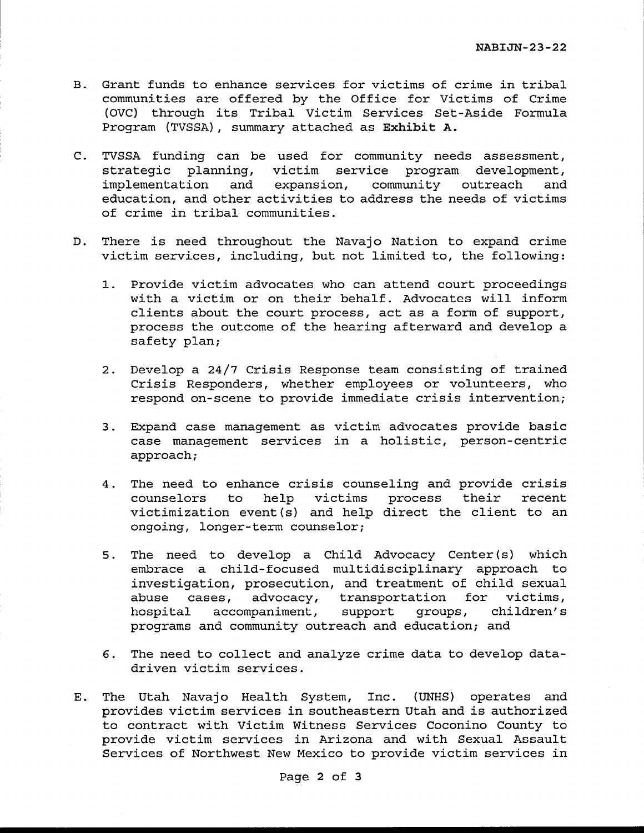- B. Grant funds to enhance services for victims of crime in tribal communities are offered by the Office for Victims of Crime (OVC) through its Tribal Victim Services Set-Aside Formula Program (TVSSA), summary attached as **Exhibit A.**
- C. TVSSA funding can be used for community needs assessment, strategic planning, victim service program development,<br>implementation and expansion, community outreach and and expansion, community outreach and education, and other activities to address the needs of victims of crime in tribal communities.
- D. There is need throughout the Navajo Nation to expand crime victim services, including, but not limited to, the following:
	- 1. Provide victim advocates who can attend court proceedings with a victim or on their behalf. Advocates will inform clients about the court process, act as a form of support, process the outcome of the hearing afterward and develop a safety plan;
	- 2. Develop a 24/7 Crisis Response team consisting of trained Crisis Responders, whether employees or volunteers, who respond on-scene to provide immediate crisis intervention;
	- 3. Expand case management as victim advocates provide basic case management services in a holistic, person-centric approach;
	- 4. The need to enhance crisis counseling and provide crisis<br>counselors to help victims process their recent to help victims process their victimization event (s) and help direct the client to an ongoing, longer-term counselor;
	- 5. The need to develop a Child Advocacy Center (s) which embrace a child-focused multidisciplinary approach to investigation, prosecution, and treatment of child sexual abuse cases, advocacy, transportation for victims,<br>hospital accompaniment, support groups, children's hospital accompaniment, support groups, children's programs and community outreach and education; and
	- 6. The need to collect and analyze crime data to develop datadriven victim services.
- E. The Utah Navajo Health System, Inc. (UNHS) operates and provides victim services in southeastern Utah and is authorized to contract with Victim Witness Services Coconino County to provide victim services in Arizona and with Sexual Assault Services of Northwest New Mexico to provide victim services in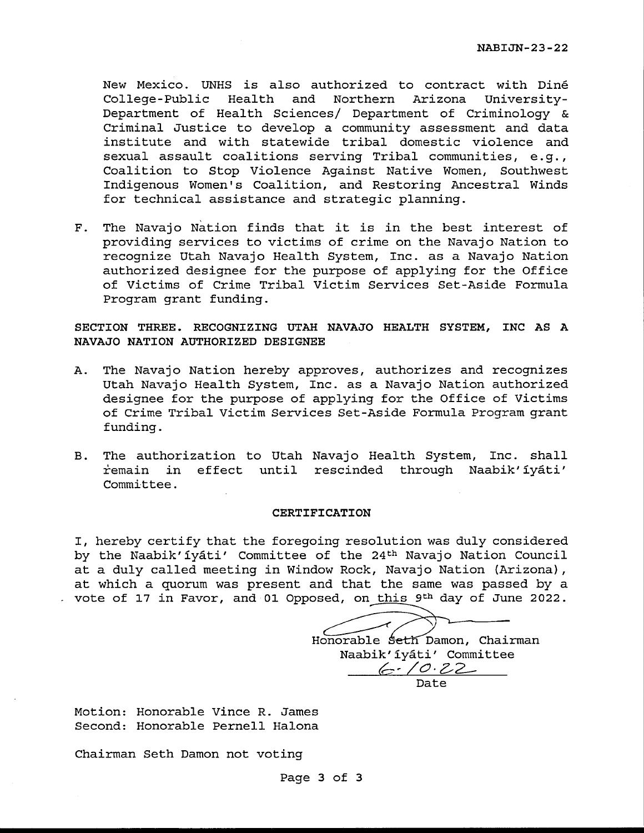New Mexico. UNHS is also authorized to contract with Dine College-Public Health and Northern Arizona University-Department of Health Sciences/ Department of Criminology & Criminal Justice to develop a community assessment and data institute and with statewide tribal domestic violence and sexual assault coalitions serving Tribal communities, e.g., Coalition to Stop Violence Against Native Women, Southwest Indigenous Women's Coalition, and Restoring Ancestral Winds for technical assistance and strategic planning.

F. The Navajo Nation finds that it is in the best interest of providing services to victims of crime on the Navajo Nation to recognize Utah Navajo Health System, Inc. as a Navajo Nation authorized designee for the purpose of applying for the Office of Victims of Crime Tribal Victim Services Set-Aside Formula Program grant funding.

**SECTION THREE. RECOGNIZING UTAH NAVAJO HEALTH SYSTEM, INC AS A NAVAJO NATION AUTHORIZED DESIGNEE** 

- A. The Navajo Nation hereby approves, authorizes and recognizes Utah Navajo Health System, Inc. as a Navajo Nation authorized designee for the purpose of applying for the Office of Victims of Crime Tribal Victim Services Set-Aside Formula Program grant funding.
- B. The authorization to Utah Navajo Health System, Inc. shall remain in effect until rescinded through Naabik'iyáti' Committee.

#### **CERTIFICATION**

I, hereby certify that the foregoing resolution was duly considered by the Naabik'iyáti' Committee of the 24<sup>th</sup> Navajo Nation Council at a duly called meeting in Window Rock, Navajo Nation (Arizona), at which a quorum was present and that the same was passed by a vote of 17 in Favor, and 01 Opposed, on this 9<sup>th</sup> day of June 2022.

Honorable Seth Damon, Chairman Naabik'iyati' Committee *b,, /O·Z-2-* Date

Motion: Honorable Vince R. James Second: Honorable Pernell Halona

Chairman Seth Damon not voting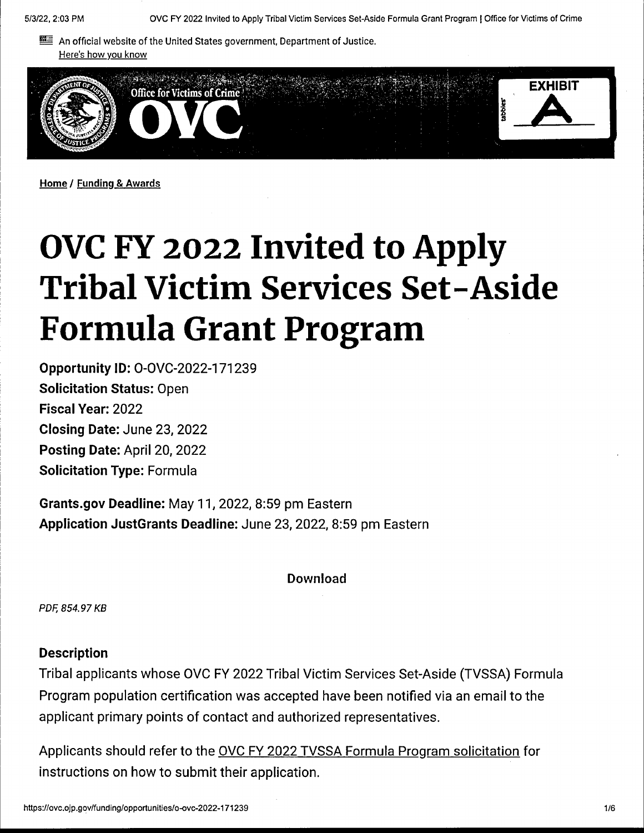**EE** An official website of the United States government, Department of Justice. Here's how you know



**Home/ Funding** & **Awards** 

# **OVC FY 2022 Invited to Apply Tribal Victim Services Set-Aside Formula Grant Program**

**Opportunity** ID: O-OVC-2022-171239 **Solicitation Status:** Open **Fiscal Year:** 2022 **Closing Date:** June 23, 2022 **Posting Date:** April 20, 2022 **Solicitation Type:** Formula

**Grants.gov Deadline:** May 11, 2022, 8:59 pm Eastern **Application JustGrants Deadline:** June 23, 2022, 8:59 pm Eastern

Download

PDF, 854. 97 KB

### **Description**

Tribal applicants whose OVC FY 2022 Tribal Victim Services Set-Aside (TVSSA) Formula Program population certification was accepted have been notified via an email to the applicant primary points of contact and authorized representatives.

Applicants should refer to the OVC FY 2022 TVSSA Formula Program solicitation for instructions on how to submit their application.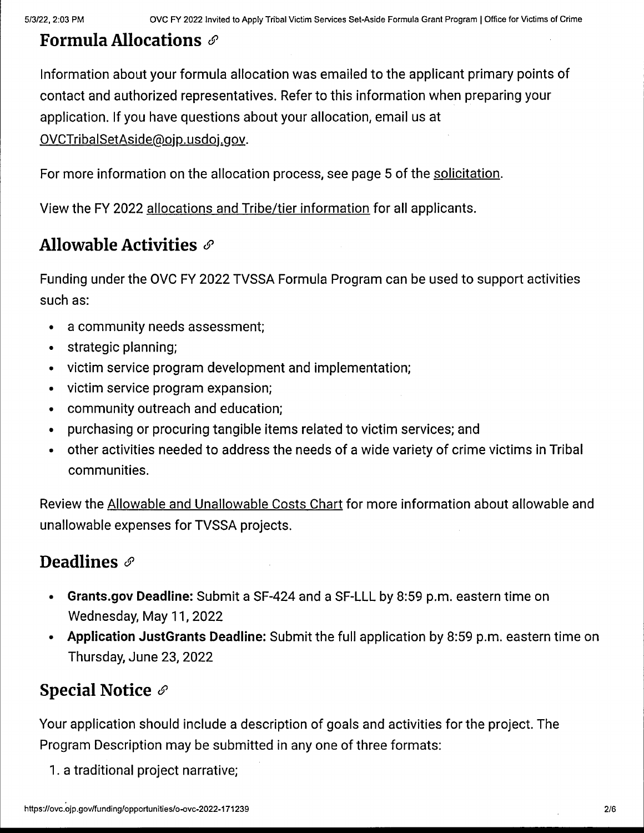## **Formula Allocations** 6'

Information about your formula allocation was emailed to the applicant primary points of contact and authorized representatives. Refer to this information when preparing your application. If you have questions about your allocation, email us at

OVCTribalSetAside@ojp.usdoj.gov.

For more information on the allocation process, see page 5 of the solicitation.

View the FY 2022 allocations and Tribe/tier information for all applicants.

# **Allowable Activities** 6'

Funding under the OVC FY 2022 TVSSA Formula Program can be used to support activities such as:

- a community needs assessment;
- strategic planning;
- victim service program development and implementation;
- victim service program expansion;
- community outreach and education;
- purchasing or procuring tangible items related to victim services; and
- other activities needed to address the needs of a wide variety of crime victims in Tribal communities.

Review the Allowable and Unallowable Costs Chart for more information about allowable and unallowable expenses for TVSSA projects.

# **Deadlines**  $\mathscr{E}$

- **Grants.gov Deadline:** Submit a SF-424 and a SF-LLL by 8:59 p.m. eastern time on Wednesday, May 11, 2022
- **Application JustGrants Deadline:** Submit the full application by 8:59 p.m. eastern time on Thursday, June 23, 2022

# **Special Notice** 6'

Your application should include a description of goals and activities for the project. The Program Description may be submitted in any one of three formats:

1. a traditional project narrative;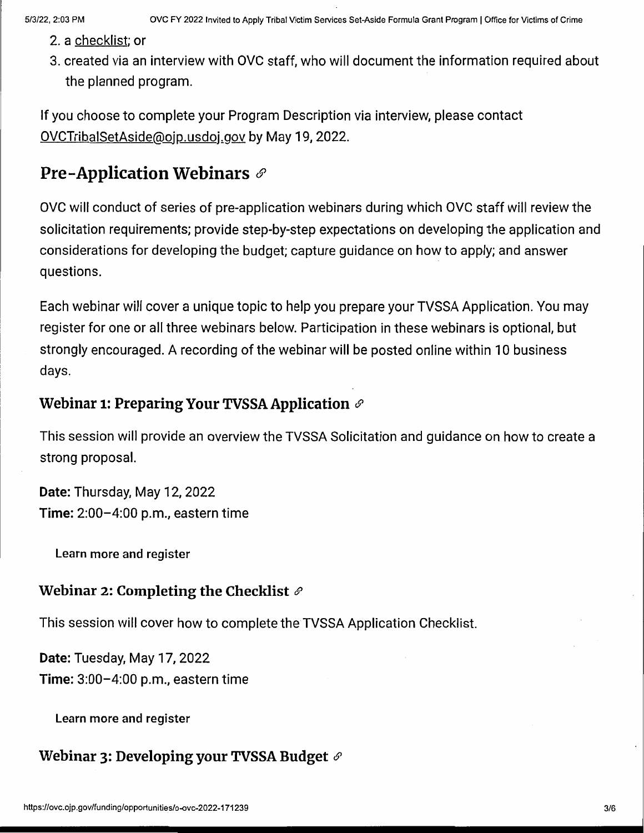- 2. a checklist; or
- 3. created via an interview with OVC staff, who will document the information required about the planned program.

If you choose to complete your Program Description via interview, please contact OVCTribalSetAside@ojp.usdoj.gov by May 19, 2022.

# **Pre-Application Webinars** *&*

OVC will conduct of series of pre-application webinars during which OVC staff will review the solicitation requirements; provide step-by-step expectations on developing the application and considerations for developing the budget; capture guidance on how to apply; and answer questions.

Each webinar will cover a unique topic to help you prepare your TVSSA Application. You may register for one or all three webinars below. Participation in these webinars is optional, but strongly encouraged. A recording of the webinar will be posted online within 10 business days.

## **Webinar 1: Preparing Your TVSSA Application** *&*

This session will provide an overview the TVSSA Solicitation and guidance on how to create a strong proposal.

**Date:** Thursday, May 12, 2022 **Time:** 2:00-4:00 p.m., eastern time

Learn more and register

## **Webinar 2: Completing the Checklist** *6'*

This session will cover how to complete the TVSSA Application Checklist.

**Date:** Tuesday, May 17, 2022 **Time:** 3:00-4:00 p.m., eastern time

Learn more and register

## **Webinar 3: Developing your TVSSA Budget** *&*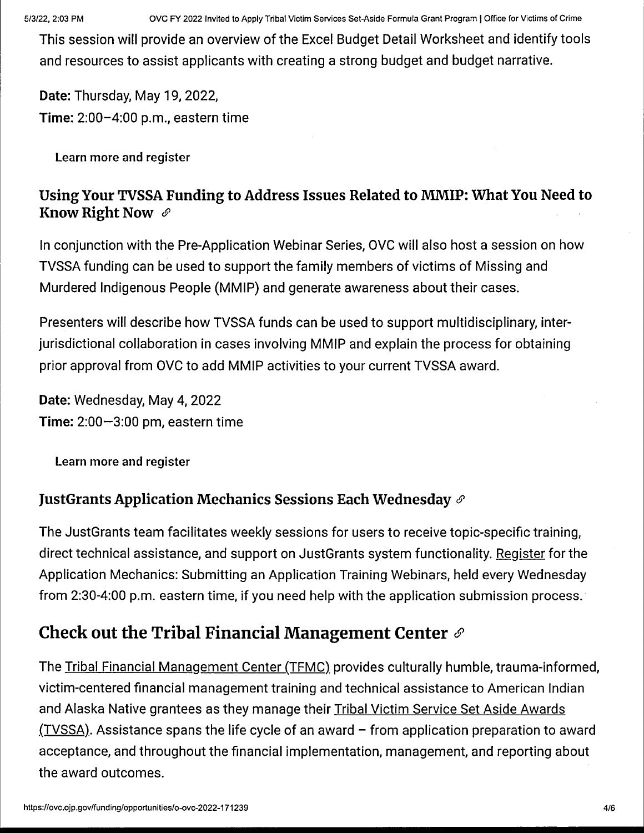5/3/22, 2:03 PM OVC FY 2022 Invited to Apply Tribal Victim Services Set-Aside Formula Grant Program I Office for Victims of Crime

This session will provide an overview of the Excel Budget Detail Worksheet and identify tools and resources to assist applicants with creating a strong budget and budget narrative.

**Date:** Thursday, May 19, 2022, **Time:** 2:00-4:00 p.m., eastern time

Learn more and register

## **Using Your TVSSA Funding to Address Issues Related to MMIP: What You Need to Know Right Now** *6'*

In conjunction with the Pre-Application Webinar Series, OVC will also host a session on how TVSSA funding can be used to support the family members of victims of Missing and Murdered Indigenous People (MMIP) and generate awareness about their cases.

Presenters will describe how TVSSA funds can be used to support multidisciplinary, interjurisdictional collaboration in cases involving MMIP and explain the process for obtaining prior approval from OVC to add MMIP activities to your current TVSSA award.

**Date:** Wednesday, May 4, 2022 **Time:** 2:00-3:00 pm, eastern time

Learn more and register

## **JustGrants Application Mechanics Sessions Each Wednesday** *6'*

The JustGrants team facilitates weekly sessions for users to receive topic-specific training, direct technical assistance, and support on JustGrants system functionality. Register for the Application Mechanics: Submitting an Application Training Webinars, held every Wednesday from 2:30-4:00 p.m. eastern time, if you need help with the application submission process.·

# **Check out the Tribal Financial Management Center** *6'*

The Tribal Financial Management Center (TFMC). provides culturally humble, trauma-informed, victim-centered financial management training and technical assistance to American Indian and Alaska Native grantees as they manage their Tribal Victim Service Set Aside Awards  $(TVSSA)$ . Assistance spans the life cycle of an award - from application preparation to award acceptance, and throughout the financial implementation, management, and reporting about the award outcomes.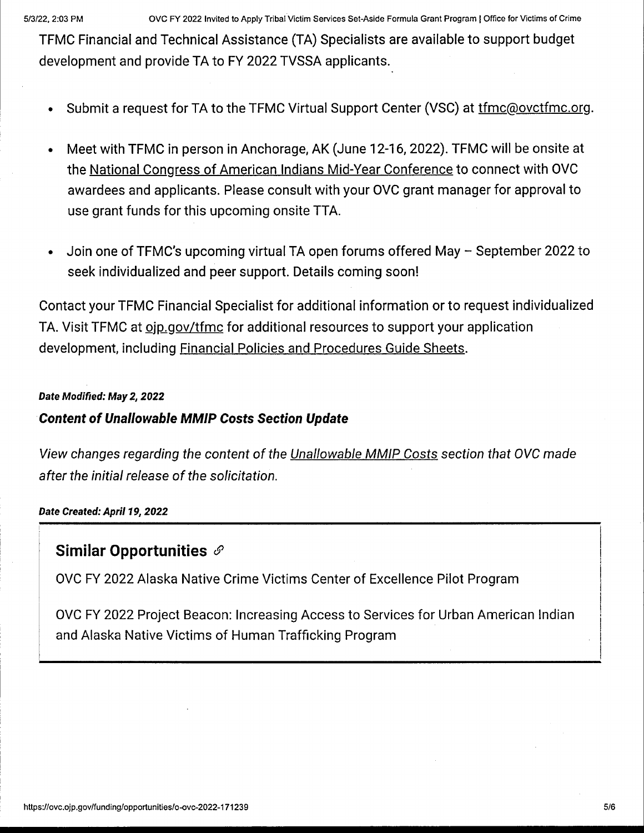TFMC Financial and Technical Assistance (TA) Specialists are available to support budget development and provide TA to FY 2022 TVSSA applicants.

- Submit a request for TA to the TFMC Virtual Support Center (VSC) at tfmc@ovctfmc.org.
- Meet with TFMC in person in Anchorage, AK (June 12-16, 2022). TFMC will be onsite at the National Congress of American Indians Mid-Year Conference to connect with OVC awardees and applicants. Please consult with your OVC grant manager for approval to use grant funds for this upcoming onsite TTA.
- Join one of TFMC's upcoming virtual TA open forums offered May September 2022 to seek individualized and peer support. Details coming soon!

Contact your TFMC Financial Specialist for additional information or to request individualized TA. Visit TFMC at oip gov/tfmc for additional resources to support your application development, including Financial Policies and Procedures Guide Sheets.

### **Date Modified: May 2, 2022**

## **Content of Unallowable MMIP Costs Section Update**

View changes regarding the content of the Unallowable MMIP Costs section that OVC made after the initial release of the solicitation.

**Date Created: April 19, 2022** 

## **Similar Opportunities** *&*

OVC FY 2022 Alaska Native Crime Victims Center of Excellence Pilot Program

OVC FY 2022 Project Beacon: Increasing Access to Services for Urban American Indian and Alaska Native Victims of Human Trafficking Program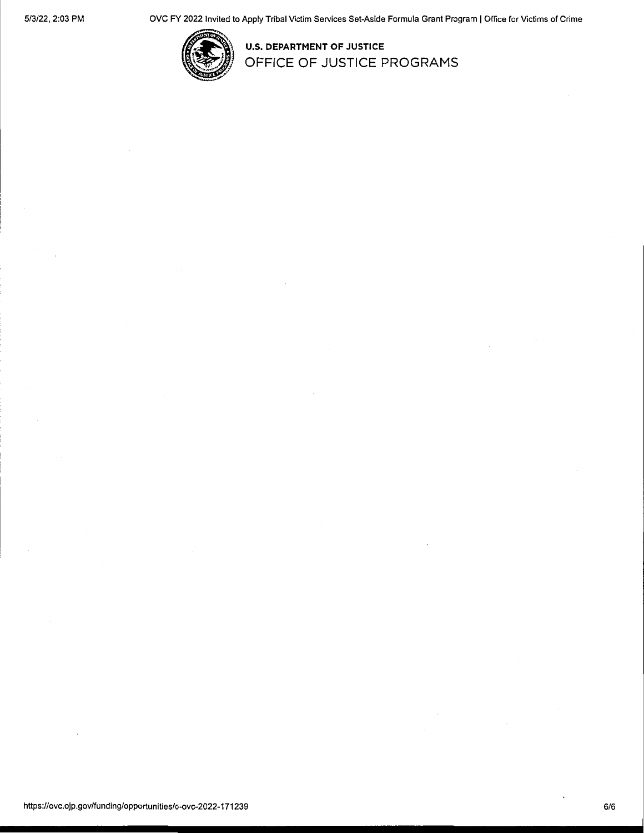

**U.S. DEPARTMENT OF JUSTICE OFFICE OF JUSTICE PROGRAMS**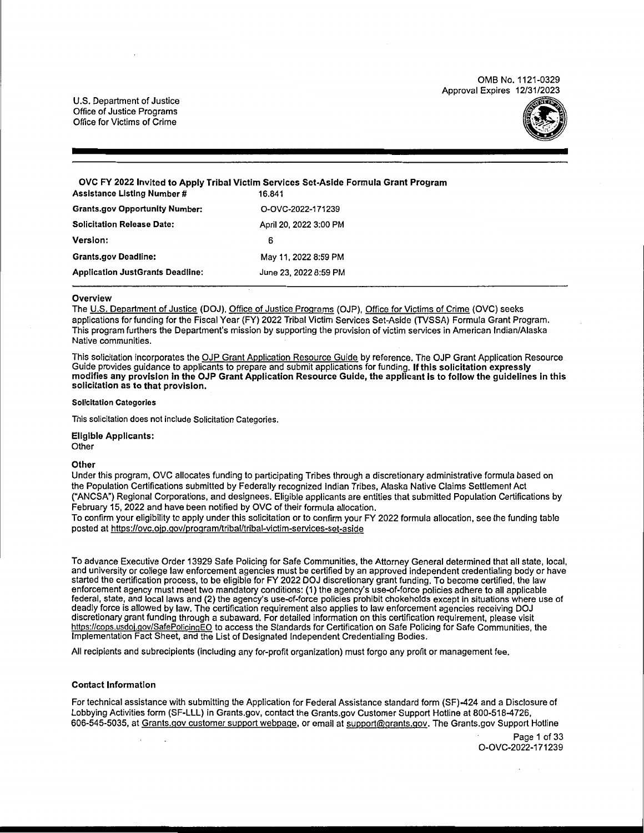0MB No. 1121-0329 Approval Expires 12/31/2023

U.S. Department of Justice Office of Justice Programs Office for Victims of Crime



**OVC FY 2022 Invited to Apply Tribal Victim Services Set-Aside Formula Grant Program Assistance Listing Number # Grants.gov Opportunity Number: Solicitation Release Date: Version:**  O-OVC-2022-171239 April 20, 2022 3:00 PM 6

**Grants.gov Deadline: Application JustGrants Deadline:**  May 11, 2022 8:59 PM June 23, 2022 8:59 PM

#### **Overview**

The U.S. Department of Justice (DOJ), Office of Justice Programs (OJP), Office for Victims of Crime (OVC) seeks applications for funding for the Fiscal Year (FY) 2022 Tribal Victim Services Set-Aside (TVSSA) Formula Grant Program. This program furthers the Department's mission by supporting the provision of victim services in American Indian/Alaska Native communities.

This solicitation incorporates the OJP Grant Application Resource Guide by reference. The OJP Grant Application Resource Guide provides guidance to applicants to prepare and submit applications for funding. **If this solicitation expressly modifies any provision in the OJP Grant Application Resource Gulde, the applicant is to follow the** guidelines **In this solicitation as to that provision.** 

#### **Solicitation Categories**

This solicitation does not include Solicitation Categories.

Eligible **Applicants: Other** 

#### **Other**

Under this program, OVC allocates funding to participating Tribes through a discretionary administrative formula based on the Population Certifications submitted by Federally recognized Indian Tribes, Alaska Native Claims Settlement Act ("ANCSA") Regional Corporations, and designees. Eligible applicants are entities that submitted Population Certifications by February 15, 2022 and have been notified by OVC of their formula allocation.

To confirm your eligibility to apply under this solicitation or to confirm your FY 2022 formula allocation, see the funding table posted at https://ovc.ojp.gov/program/tribal/tribal-victim-services-set-aside

To advance Executive Order 13929 Safe Policing for Safe Communities, the Attorney General determined that all state, local, and university or college law enforcement agencies must be certified by an approved independent credentialing body or have started the certification process, to be eligible for FY 2022 DOJ discretionary grant funding. To become certified, the law enforcement agency must meet two mandatory conditions: (1) the agency's use-of-force policies adhere to all applicable federal, state, and local laws and (2) the agency's use-of-force policies prohibit chokeholds except in situations where use of deadly force is allowed by law. The certification requirement also applies to law enforcement agencies receiving DOJ discretionary grant funding through a subaward. For detailed information on this certification requirement, please visit https://cops.usdoj.gov/SafePolicingEO to access the Standards for Certification on Safe Policing for Safe Communities, the Implementation Fact Sheet, and the List of Designated Independent Credentialing Bodies.

All recipients and subrecipients (including any for-profit organization) must forgo any profit or management fee.

#### **Contact Information**

For technical assistance with submitting the Application for Federal Assistance standard form (SF)-424 and a Disclosure of Lobbying Activities form (SF-LLL) in Grants.gov, contact the Grants.gov Customer Support Hotline at 800-518-4726, 606-545-5035, at Grants.gov customer support webpage, or email at support@grants.gov. The Grants.gov Support Hotline

> Page 1 of 33 O-OVC-2022-171239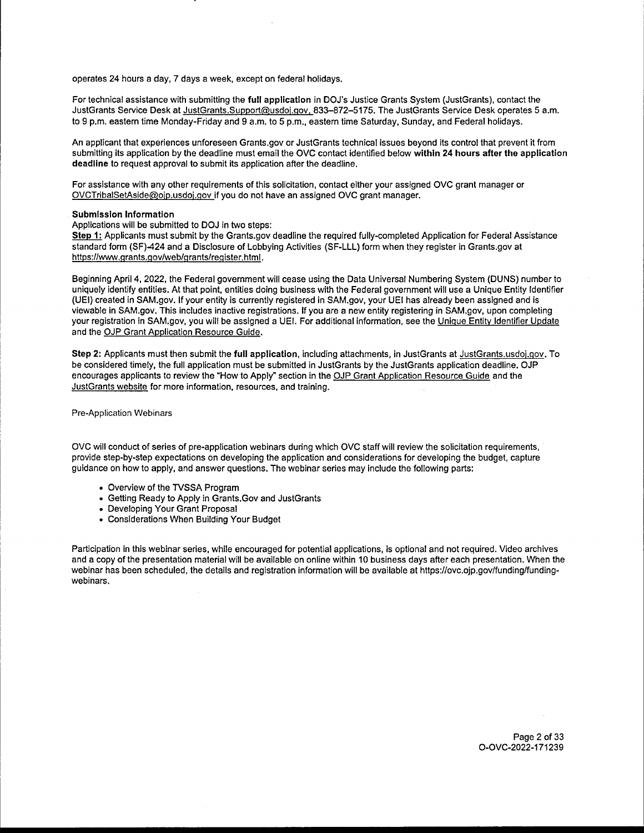operates 24 hours a day, 7 days a week, except on federal holidays.

For technical assistance with submitting the **full application** in DOJ's Justice Grants System (JustGrants), contact the JustGrants Service Desk at JustGrants.Support@usdoj.gov, 833-872-5175. The JustGrants Service Desk operates 5 a.m. to 9 p.m. eastern time Monday-Friday and 9 a.m. to 5 p.m., eastern time Saturday, Sunday, and Federal holidays.

An applicant that experiences unforeseen Grants.gov or JustGrants technical issues beyond its control that prevent it from submitting its application by the deadline must email the OVC contact identified below within 24 hours after the application **deadline** to request approval to submit its application after the deadline.

For assistance with any other requirements of this solicitation, contact either your assigned OVC grant manager or OVCTribalSetAside@ojp.usdoj.gov if you do not have an assigned OVC grant manager.

#### **Submission Information**

Applications will be submitted to DOJ in two steps:

Step 1: Applicants must submit by the Grants.gov deadline the required fully-completed Application for Federal Assistance standard form (SF)-424 and a Disclosure of Lobbying Activities (SF-LLL) form when they register in Grants.gov at https://www .grants.gov/web/grants/register.html.

Beginning April 4, 2022, the Federal government will cease using the Data Universal Numbering System (DUNS) number to uniquely identify entities. At that point, entities doing business with the Federal government will use a Unique Entity Identifier (UEI) created in SAM.gov. If your entity is currently registered in SAM.gov, your UEI has already been assigned and is viewable in SAM.gov. This includes inactive registrations. If you are a new entity registering in SAM.gov, upon completing your registration in SAM.gov, you will be assigned a UEI. For additional information, see the Unique Entity Identifier Update and the OJP Grant Application Resource Guide.

**Step 2:** Applicants must then submit the **full application,** including attachments, in JustGrants at JustGrants.usdoj.gov. To be considered timely, the full application must be submitted in JustGrants by the JustGrants application deadline. OJP encourages applicants to review the "How to Apply" section in the OJP Grant Application Resource Guide and the JustGrants website for more information, resources, and training.

Pre-Application Webinars

OVC will conduct of series of pre-application webinars during which OVC staff will review the solicitation requirements, provide step-by-step expectations on developing the application and considerations for developing the budget, capture guidance on how to apply, and answer questions. The webinar series may include the following parts:

- Overview of the TVSSA Program
- Getting Ready to Apply in Grants.Gov and JustGrants
- Developing Your Grant Proposal
- Considerations When Building Your Budget

Participation in this webinar series, while encouraged for potential applications, is optional and not required. Video archives and a copy of the presentation material will be available on online within 10 business days after each presentation. When the webinar has been scheduled, the details and registration information will be available at https://ovc.ojp.gov/funding/fundingwebinars.

> Page 2 of 33 O-OVC-2022-171239